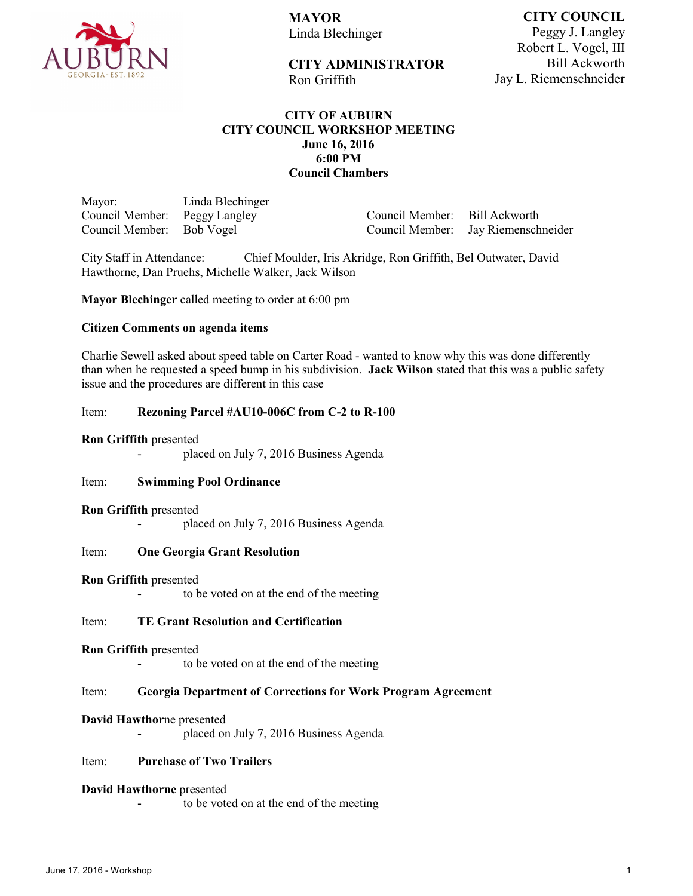

**MAYOR** Linda Blechinger

Ron Griffith

**CITY ADMINISTRATOR** 

**CITY COUNCIL** Peggy J. Langley Robert L. Vogel, III Bill Ackworth Jay L. Riemenschneider

# **CITY OF AUBURN CITY COUNCIL WORKSHOP MEETING June 16, 2016 6:00 PM Council Chambers**

Mayor: Linda Blechinger Council Member: Peggy Langley<br>Council Member: Bob Vogel Council Member:

Council Member: Bill Ackworth Council Member: Jay Riemenschneider

City Staff in Attendance: Chief Moulder, Iris Akridge, Ron Griffith, Bel Outwater, David Hawthorne, Dan Pruehs, Michelle Walker, Jack Wilson

**Mayor Blechinger** called meeting to order at 6:00 pm

## **Citizen Comments on agenda items**

Charlie Sewell asked about speed table on Carter Road - wanted to know why this was done differently than when he requested a speed bump in his subdivision. **Jack Wilson** stated that this was a public safety issue and the procedures are different in this case

## Item: **Rezoning Parcel #AU10-006C from C-2 to R-100**

## **Ron Griffith** presented

placed on July 7, 2016 Business Agenda

## Item: **Swimming Pool Ordinance**

## **Ron Griffith** presented

placed on July 7, 2016 Business Agenda

## Item: **One Georgia Grant Resolution**

## **Ron Griffith** presented

to be voted on at the end of the meeting

## Item: **TE Grant Resolution and Certification**

## **Ron Griffith** presented

- to be voted on at the end of the meeting

## Item: **Georgia Department of Corrections for Work Program Agreement**

## **David Hawthor**ne presented

placed on July 7, 2016 Business Agenda

## Item: **Purchase of Two Trailers**

## **David Hawthorne** presented

to be voted on at the end of the meeting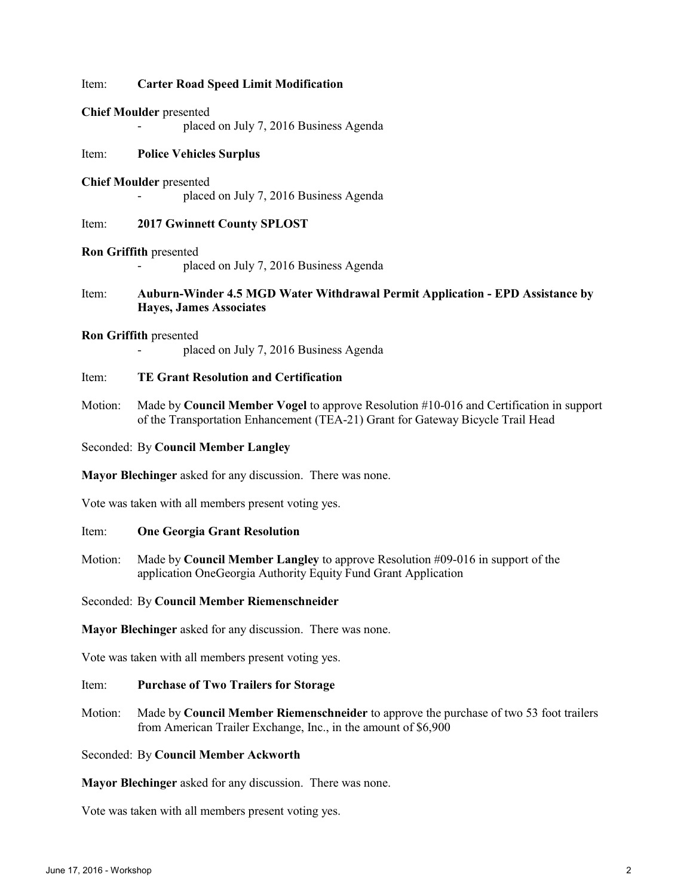## Item: **Carter Road Speed Limit Modification**

#### **Chief Moulder** presented

placed on July 7, 2016 Business Agenda

## Item: **Police Vehicles Surplus**

## **Chief Moulder** presented

placed on July 7, 2016 Business Agenda

# Item: **2017 Gwinnett County SPLOST**

#### **Ron Griffith** presented

placed on July 7, 2016 Business Agenda

# Item: **Auburn-Winder 4.5 MGD Water Withdrawal Permit Application - EPD Assistance by Hayes, James Associates**

#### **Ron Griffith** presented

placed on July 7, 2016 Business Agenda

## Item: **TE Grant Resolution and Certification**

Motion: Made by **Council Member Vogel** to approve Resolution #10-016 and Certification in support of the Transportation Enhancement (TEA-21) Grant for Gateway Bicycle Trail Head

# Seconded: By **Council Member Langley**

**Mayor Blechinger** asked for any discussion. There was none.

Vote was taken with all members present voting yes.

## Item: **One Georgia Grant Resolution**

Motion: Made by **Council Member Langley** to approve Resolution #09-016 in support of the application OneGeorgia Authority Equity Fund Grant Application

Seconded: By **Council Member Riemenschneider**

**Mayor Blechinger** asked for any discussion. There was none.

Vote was taken with all members present voting yes.

## Item: **Purchase of Two Trailers for Storage**

Motion: Made by **Council Member Riemenschneider** to approve the purchase of two 53 foot trailers from American Trailer Exchange, Inc., in the amount of \$6,900

## Seconded: By **Council Member Ackworth**

**Mayor Blechinger** asked for any discussion. There was none.

Vote was taken with all members present voting yes.